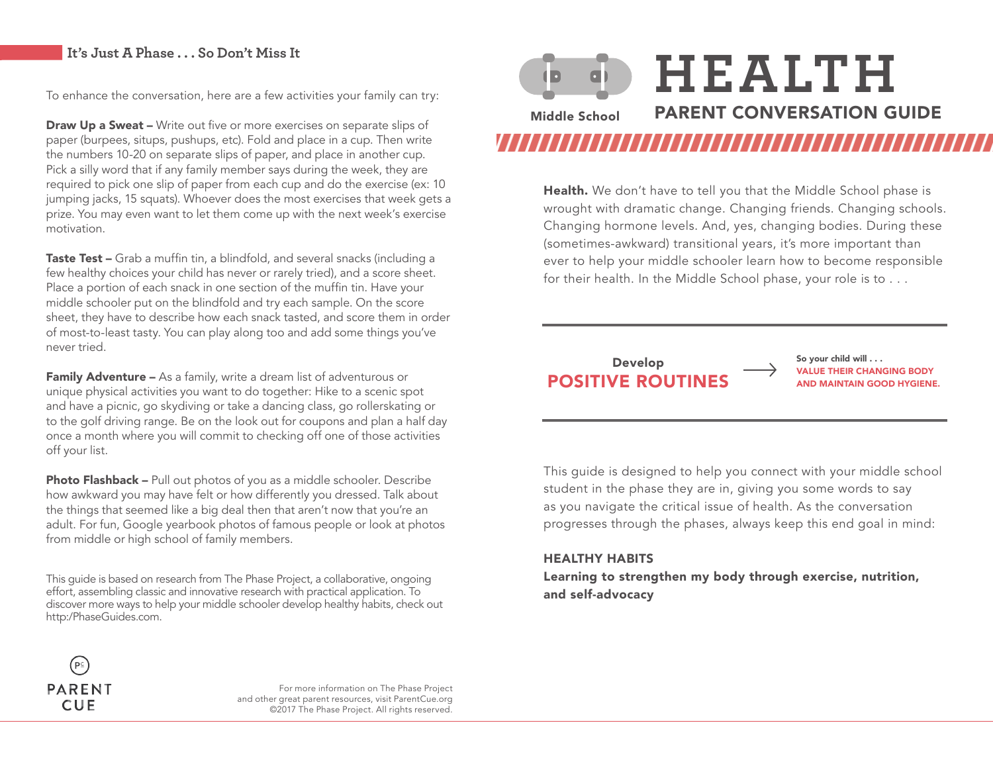### **It's Just A Phase . . . So Don't Miss It**

To enhance the conversation, here are a few activities your family can try:

**Draw Up a Sweat –** Write out five or more exercises on separate slips of paper (burpees, situps, pushups, etc). Fold and place in a cup. Then write the numbers 10-20 on separate slips of paper, and place in another cup. Pick a silly word that if any family member says during the week, they are required to pick one slip of paper from each cup and do the exercise (ex: 10 jumping jacks, 15 squats). Whoever does the most exercises that week gets a prize. You may even want to let them come up with the next week's exercise motivation.

Taste Test - Grab a muffin tin, a blindfold, and several snacks (including a few healthy choices your child has never or rarely tried), and a score sheet. Place a portion of each snack in one section of the muffin tin. Have your middle schooler put on the blindfold and try each sample. On the score sheet, they have to describe how each snack tasted, and score them in order of most-to-least tasty. You can play along too and add some things you've never tried.

**Family Adventure –** As a family, write a dream list of adventurous or unique physical activities you want to do together: Hike to a scenic spot and have a picnic, go skydiving or take a dancing class, go rollerskating or to the golf driving range. Be on the look out for coupons and plan a half day once a month where you will commit to checking off one of those activities off your list.

**Photo Flashback –** Pull out photos of you as a middle schooler. Describe how awkward you may have felt or how differently you dressed. Talk about the things that seemed like a big deal then that aren't now that you're an adult. For fun, Google yearbook photos of famous people or look at photos from middle or high school of family members.

This guide is based on research from The Phase Project, a collaborative, ongoing effort, assembling classic and innovative research with practical application. To discover more ways to help your middle schooler develop healthy habits, check out http:/PhaseGuides.com.



**Health.** We don't have to tell you that the Middle School phase is wrought with dramatic change. Changing friends. Changing schools. Changing hormone levels. And, yes, changing bodies. During these (sometimes-awkward) transitional years, it's more important than ever to help your middle schooler learn how to become responsible for their health. In the Middle School phase, your role is to . . .

### **POSITIVE ROUTINES** Develop

So your child will . . . VALUE THEIR CHANGING BODY

This guide is designed to help you connect with your middle school student in the phase they are in, giving you some words to say as you navigate the critical issue of health. As the conversation progresses through the phases, always keep this end goal in mind:

### HEALTHY HABITS

Learning to strengthen my body through exercise, nutrition, and self-advocacy



For more information on The Phase Project and other great parent resources, visit ParentCue.org ©2017 The Phase Project. All rights reserved.